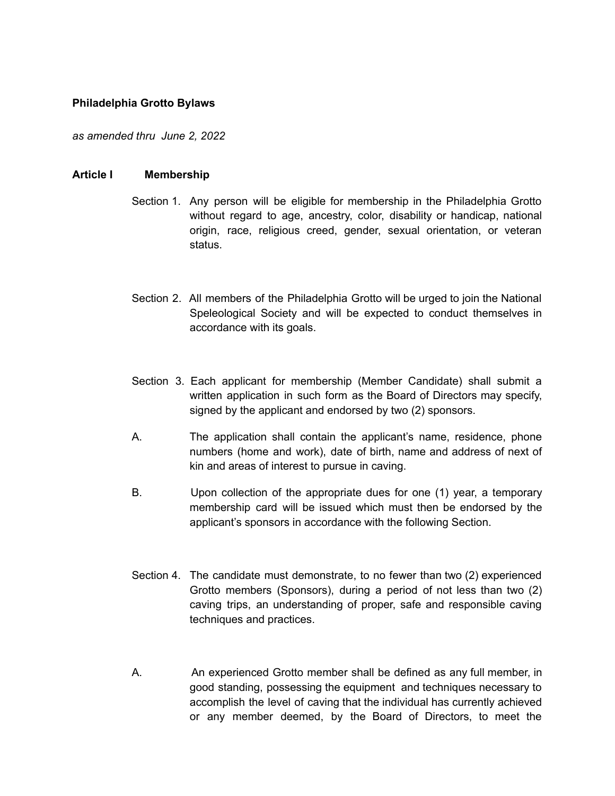#### **Philadelphia Grotto Bylaws**

*as amended thru June 2, 2022*

#### **Article I Membership**

- Section 1. Any person will be eligible for membership in the Philadelphia Grotto without regard to age, ancestry, color, disability or handicap, national origin, race, religious creed, gender, sexual orientation, or veteran status.
- Section 2. All members of the Philadelphia Grotto will be urged to join the National Speleological Society and will be expected to conduct themselves in accordance with its goals.
- Section 3. Each applicant for membership (Member Candidate) shall submit a written application in such form as the Board of Directors may specify, signed by the applicant and endorsed by two (2) sponsors.
- A. The application shall contain the applicant's name, residence, phone numbers (home and work), date of birth, name and address of next of kin and areas of interest to pursue in caving.
- B. Upon collection of the appropriate dues for one (1) year, a temporary membership card will be issued which must then be endorsed by the applicant's sponsors in accordance with the following Section.
- Section 4. The candidate must demonstrate, to no fewer than two (2) experienced Grotto members (Sponsors), during a period of not less than two (2) caving trips, an understanding of proper, safe and responsible caving techniques and practices.
- A. An experienced Grotto member shall be defined as any full member, in good standing, possessing the equipment and techniques necessary to accomplish the level of caving that the individual has currently achieved or any member deemed, by the Board of Directors, to meet the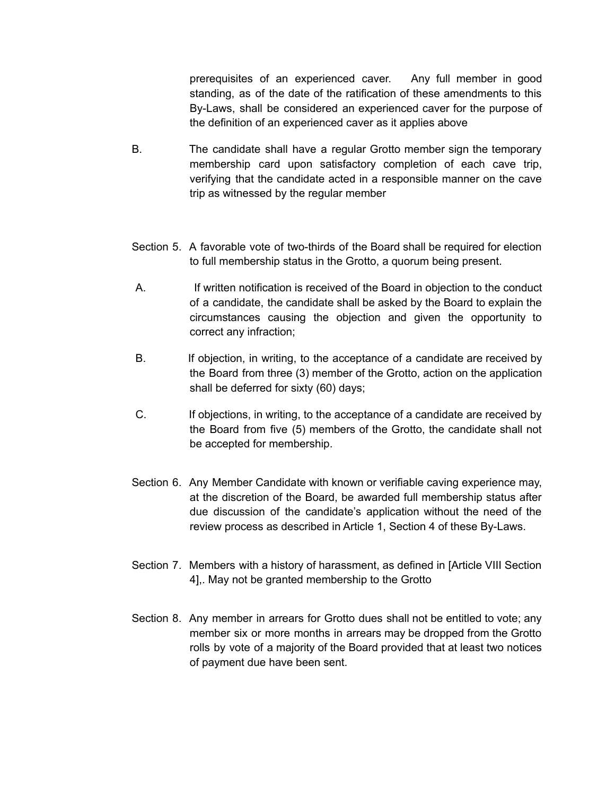prerequisites of an experienced caver. Any full member in good standing, as of the date of the ratification of these amendments to this By-Laws, shall be considered an experienced caver for the purpose of the definition of an experienced caver as it applies above

- B. The candidate shall have a regular Grotto member sign the temporary membership card upon satisfactory completion of each cave trip, verifying that the candidate acted in a responsible manner on the cave trip as witnessed by the regular member
- Section 5. A favorable vote of two-thirds of the Board shall be required for election to full membership status in the Grotto, a quorum being present.
- A. If written notification is received of the Board in objection to the conduct of a candidate, the candidate shall be asked by the Board to explain the circumstances causing the objection and given the opportunity to correct any infraction;
- B. If objection, in writing, to the acceptance of a candidate are received by the Board from three (3) member of the Grotto, action on the application shall be deferred for sixty (60) days;
- C. If objections, in writing, to the acceptance of a candidate are received by the Board from five (5) members of the Grotto, the candidate shall not be accepted for membership.
- Section 6. Any Member Candidate with known or verifiable caving experience may, at the discretion of the Board, be awarded full membership status after due discussion of the candidate's application without the need of the review process as described in Article 1, Section 4 of these By-Laws.
- Section 7. Members with a history of harassment, as defined in [Article VIII Section 4],. May not be granted membership to the Grotto
- Section 8. Any member in arrears for Grotto dues shall not be entitled to vote; any member six or more months in arrears may be dropped from the Grotto rolls by vote of a majority of the Board provided that at least two notices of payment due have been sent.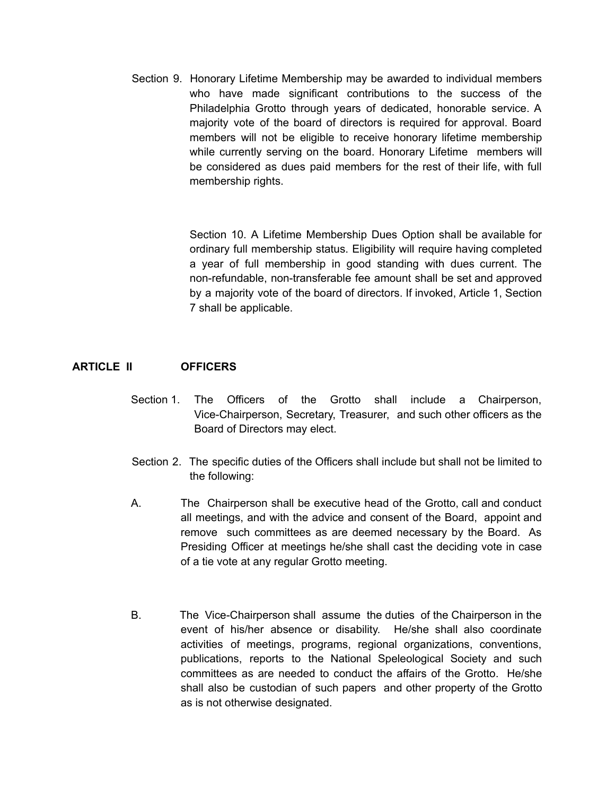Section 9. Honorary Lifetime Membership may be awarded to individual members who have made significant contributions to the success of the Philadelphia Grotto through years of dedicated, honorable service. A majority vote of the board of directors is required for approval. Board members will not be eligible to receive honorary lifetime membership while currently serving on the board. Honorary Lifetime members will be considered as dues paid members for the rest of their life, with full membership rights.

> Section 10. A Lifetime Membership Dues Option shall be available for ordinary full membership status. Eligibility will require having completed a year of full membership in good standing with dues current. The non-refundable, non-transferable fee amount shall be set and approved by a majority vote of the board of directors. If invoked, Article 1, Section 7 shall be applicable.

## **ARTICLE II OFFICERS**

- Section 1. The Officers of the Grotto shall include a Chairperson, Vice-Chairperson, Secretary, Treasurer, and such other officers as the Board of Directors may elect.
- Section 2. The specific duties of the Officers shall include but shall not be limited to the following:
- A. The Chairperson shall be executive head of the Grotto, call and conduct all meetings, and with the advice and consent of the Board, appoint and remove such committees as are deemed necessary by the Board. As Presiding Officer at meetings he/she shall cast the deciding vote in case of a tie vote at any regular Grotto meeting.
- B. The Vice-Chairperson shall assume the duties of the Chairperson in the event of his/her absence or disability. He/she shall also coordinate activities of meetings, programs, regional organizations, conventions, publications, reports to the National Speleological Society and such committees as are needed to conduct the affairs of the Grotto. He/she shall also be custodian of such papers and other property of the Grotto as is not otherwise designated.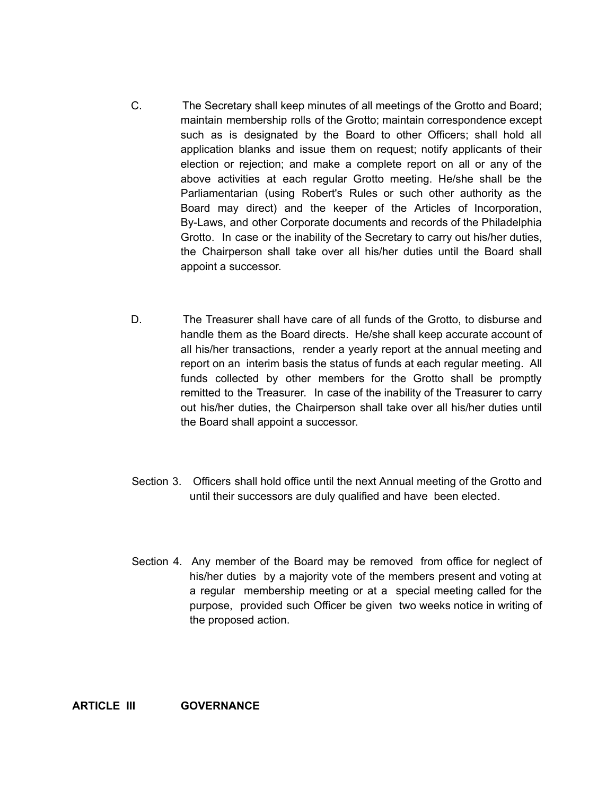- C. The Secretary shall keep minutes of all meetings of the Grotto and Board; maintain membership rolls of the Grotto; maintain correspondence except such as is designated by the Board to other Officers; shall hold all application blanks and issue them on request; notify applicants of their election or rejection; and make a complete report on all or any of the above activities at each regular Grotto meeting. He/she shall be the Parliamentarian (using Robert's Rules or such other authority as the Board may direct) and the keeper of the Articles of Incorporation, By-Laws, and other Corporate documents and records of the Philadelphia Grotto. In case or the inability of the Secretary to carry out his/her duties, the Chairperson shall take over all his/her duties until the Board shall appoint a successor.
- D. The Treasurer shall have care of all funds of the Grotto, to disburse and handle them as the Board directs. He/she shall keep accurate account of all his/her transactions, render a yearly report at the annual meeting and report on an interim basis the status of funds at each regular meeting. All funds collected by other members for the Grotto shall be promptly remitted to the Treasurer. In case of the inability of the Treasurer to carry out his/her duties, the Chairperson shall take over all his/her duties until the Board shall appoint a successor.
- Section 3. Officers shall hold office until the next Annual meeting of the Grotto and until their successors are duly qualified and have been elected.
- Section 4. Any member of the Board may be removed from office for neglect of his/her duties by a majority vote of the members present and voting at a regular membership meeting or at a special meeting called for the purpose, provided such Officer be given two weeks notice in writing of the proposed action.

**ARTICLE III GOVERNANCE**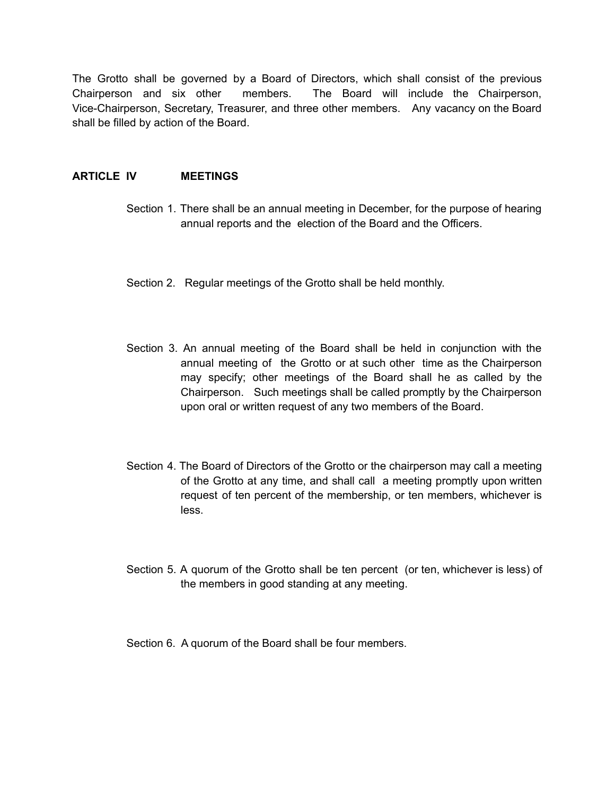The Grotto shall be governed by a Board of Directors, which shall consist of the previous Chairperson and six other members. The Board will include the Chairperson, Vice-Chairperson, Secretary, Treasurer, and three other members. Any vacancy on the Board shall be filled by action of the Board.

## **ARTICLE IV MEETINGS**

- Section 1. There shall be an annual meeting in December, for the purpose of hearing annual reports and the election of the Board and the Officers.
- Section 2. Regular meetings of the Grotto shall be held monthly.
- Section 3. An annual meeting of the Board shall be held in conjunction with the annual meeting of the Grotto or at such other time as the Chairperson may specify; other meetings of the Board shall he as called by the Chairperson. Such meetings shall be called promptly by the Chairperson upon oral or written request of any two members of the Board.
- Section 4. The Board of Directors of the Grotto or the chairperson may call a meeting of the Grotto at any time, and shall call a meeting promptly upon written request of ten percent of the membership, or ten members, whichever is less.
- Section 5. A quorum of the Grotto shall be ten percent (or ten, whichever is less) of the members in good standing at any meeting.
- Section 6. A quorum of the Board shall be four members.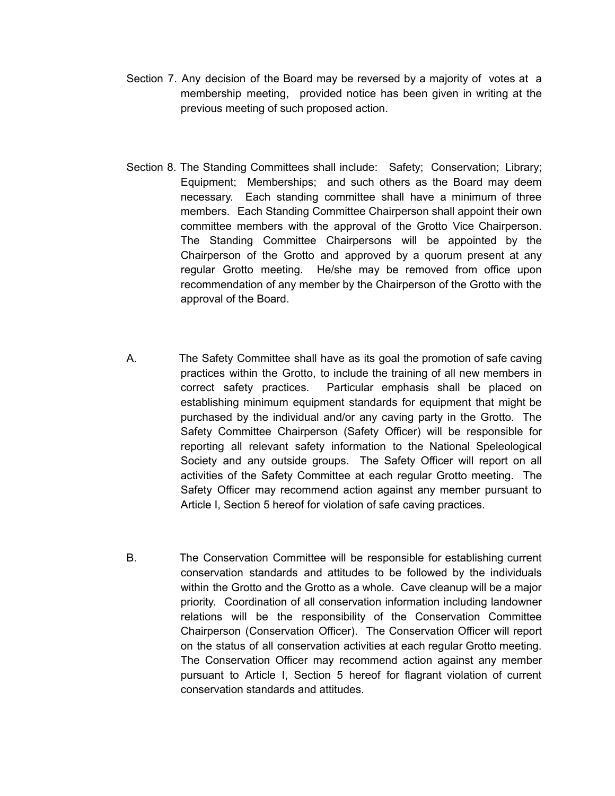- Section 7. Any decision of the Board may be reversed by a majority of votes at a membership meeting, provided notice has been given in writing at the previous meeting of such proposed action.
- Section 8. The Standing Committees shall include: Safety; Conservation; Library; Equipment; Memberships; and such others as the Board may deem necessary. Each standing committee shall have a minimum of three members. Each Standing Committee Chairperson shall appoint their own committee members with the approval of the Grotto Vice Chairperson. The Standing Committee Chairpersons will be appointed by the Chairperson of the Grotto and approved by a quorum present at any regular Grotto meeting. He/she may be removed from office upon recommendation of any member by the Chairperson of the Grotto with the approval of the Board.
- A. The Safety Committee shall have as its goal the promotion of safe caving practices within the Grotto, to include the training of all new members in correct safety practices. Particular emphasis shall be placed on establishing minimum equipment standards for equipment that might be purchased by the individual and/or any caving party in the Grotto. The Safety Committee Chairperson (Safety Officer) will be responsible for reporting all relevant safety information to the National Speleological Society and any outside groups. The Safety Officer will report on all activities of the Safety Committee at each regular Grotto meeting. The Safety Officer may recommend action against any member pursuant to Article I, Section 5 hereof for violation of safe caving practices.
- B. The Conservation Committee will be responsible for establishing current conservation standards and attitudes to be followed by the individuals within the Grotto and the Grotto as a whole. Cave cleanup will be a major priority. Coordination of all conservation information including landowner relations will be the responsibility of the Conservation Committee Chairperson (Conservation Officer). The Conservation Officer will report on the status of all conservation activities at each regular Grotto meeting. The Conservation Officer may recommend action against any member pursuant to Article I, Section 5 hereof for flagrant violation of current conservation standards and attitudes.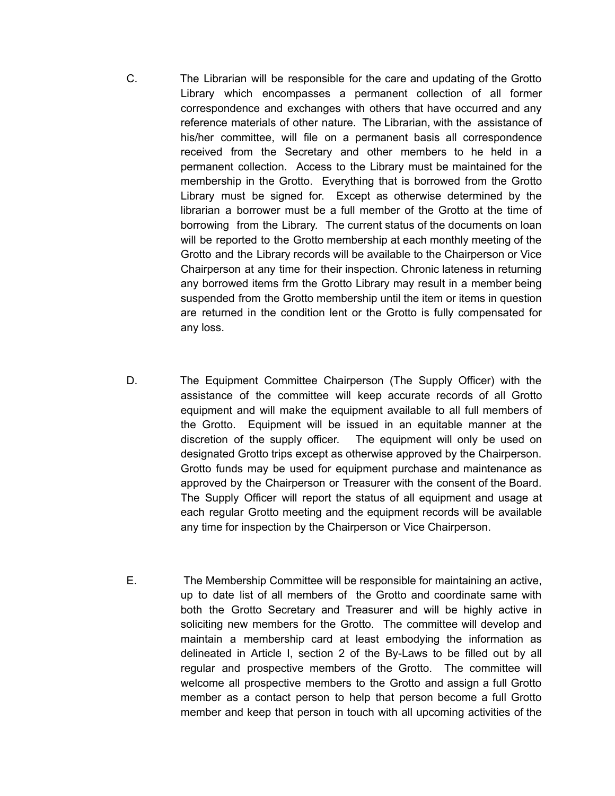- C. The Librarian will be responsible for the care and updating of the Grotto Library which encompasses a permanent collection of all former correspondence and exchanges with others that have occurred and any reference materials of other nature. The Librarian, with the assistance of his/her committee, will file on a permanent basis all correspondence received from the Secretary and other members to he held in a permanent collection. Access to the Library must be maintained for the membership in the Grotto. Everything that is borrowed from the Grotto Library must be signed for. Except as otherwise determined by the librarian a borrower must be a full member of the Grotto at the time of borrowing from the Library. The current status of the documents on loan will be reported to the Grotto membership at each monthly meeting of the Grotto and the Library records will be available to the Chairperson or Vice Chairperson at any time for their inspection. Chronic lateness in returning any borrowed items frm the Grotto Library may result in a member being suspended from the Grotto membership until the item or items in question are returned in the condition lent or the Grotto is fully compensated for any loss.
- D. The Equipment Committee Chairperson (The Supply Officer) with the assistance of the committee will keep accurate records of all Grotto equipment and will make the equipment available to all full members of the Grotto. Equipment will be issued in an equitable manner at the discretion of the supply officer. The equipment will only be used on designated Grotto trips except as otherwise approved by the Chairperson. Grotto funds may be used for equipment purchase and maintenance as approved by the Chairperson or Treasurer with the consent of the Board. The Supply Officer will report the status of all equipment and usage at each regular Grotto meeting and the equipment records will be available any time for inspection by the Chairperson or Vice Chairperson.
- E. The Membership Committee will be responsible for maintaining an active, up to date list of all members of the Grotto and coordinate same with both the Grotto Secretary and Treasurer and will be highly active in soliciting new members for the Grotto. The committee will develop and maintain a membership card at least embodying the information as delineated in Article I, section 2 of the By-Laws to be filled out by all regular and prospective members of the Grotto. The committee will welcome all prospective members to the Grotto and assign a full Grotto member as a contact person to help that person become a full Grotto member and keep that person in touch with all upcoming activities of the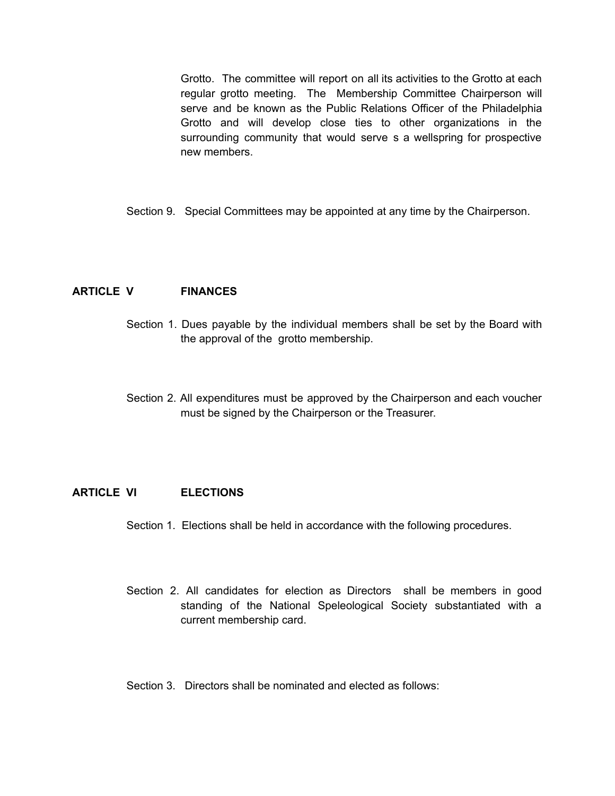Grotto. The committee will report on all its activities to the Grotto at each regular grotto meeting. The Membership Committee Chairperson will serve and be known as the Public Relations Officer of the Philadelphia Grotto and will develop close ties to other organizations in the surrounding community that would serve s a wellspring for prospective new members.

Section 9. Special Committees may be appointed at any time by the Chairperson.

## **ARTICLE V FINANCES**

- Section 1. Dues payable by the individual members shall be set by the Board with the approval of the grotto membership.
- Section 2. All expenditures must be approved by the Chairperson and each voucher must be signed by the Chairperson or the Treasurer.

#### **ARTICLE VI ELECTIONS**

- Section 1. Elections shall be held in accordance with the following procedures.
- Section 2. All candidates for election as Directors shall be members in good standing of the National Speleological Society substantiated with a current membership card.

#### Section 3. Directors shall be nominated and elected as follows: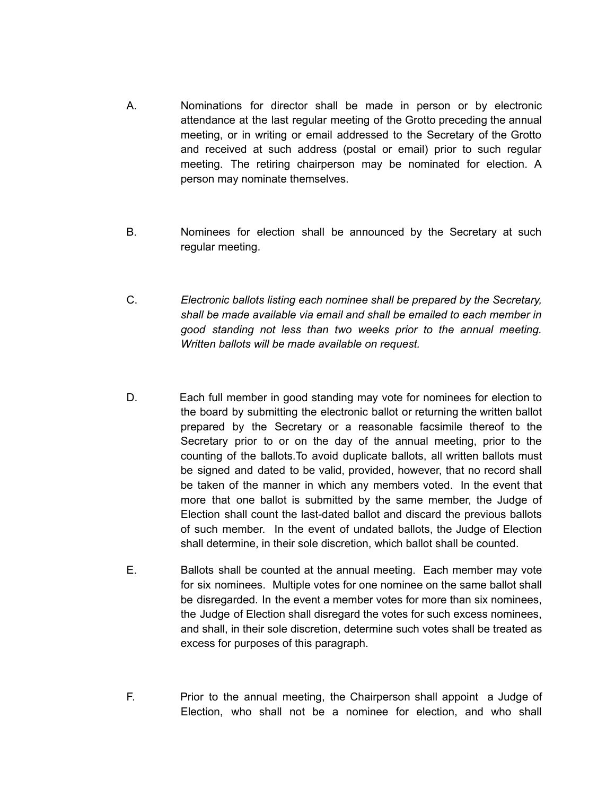- A. Nominations for director shall be made in person or by electronic attendance at the last regular meeting of the Grotto preceding the annual meeting, or in writing or email addressed to the Secretary of the Grotto and received at such address (postal or email) prior to such regular meeting. The retiring chairperson may be nominated for election. A person may nominate themselves.
- B. Nominees for election shall be announced by the Secretary at such regular meeting.
- C. *Electronic ballots listing each nominee shall be prepared by the Secretary, shall be made available via email and shall be emailed to each member in good standing not less than two weeks prior to the annual meeting. Written ballots will be made available on request.*
- D. Each full member in good standing may vote for nominees for election to the board by submitting the electronic ballot or returning the written ballot prepared by the Secretary or a reasonable facsimile thereof to the Secretary prior to or on the day of the annual meeting, prior to the counting of the ballots.To avoid duplicate ballots, all written ballots must be signed and dated to be valid, provided, however, that no record shall be taken of the manner in which any members voted. In the event that more that one ballot is submitted by the same member, the Judge of Election shall count the last-dated ballot and discard the previous ballots of such member. In the event of undated ballots, the Judge of Election shall determine, in their sole discretion, which ballot shall be counted.
- E. Ballots shall be counted at the annual meeting. Each member may vote for six nominees. Multiple votes for one nominee on the same ballot shall be disregarded. In the event a member votes for more than six nominees, the Judge of Election shall disregard the votes for such excess nominees, and shall, in their sole discretion, determine such votes shall be treated as excess for purposes of this paragraph.
- F. Prior to the annual meeting, the Chairperson shall appoint a Judge of Election, who shall not be a nominee for election, and who shall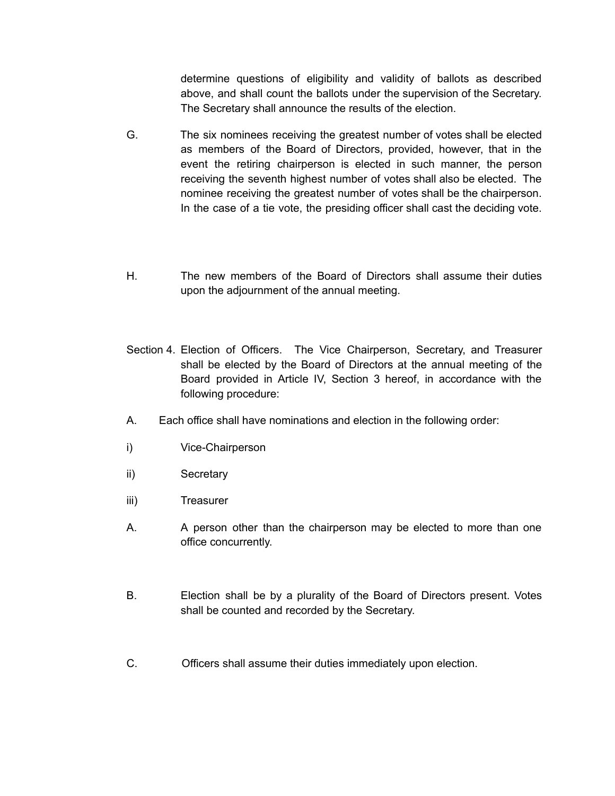determine questions of eligibility and validity of ballots as described above, and shall count the ballots under the supervision of the Secretary. The Secretary shall announce the results of the election.

- G. The six nominees receiving the greatest number of votes shall be elected as members of the Board of Directors, provided, however, that in the event the retiring chairperson is elected in such manner, the person receiving the seventh highest number of votes shall also be elected. The nominee receiving the greatest number of votes shall be the chairperson. In the case of a tie vote, the presiding officer shall cast the deciding vote.
- H. The new members of the Board of Directors shall assume their duties upon the adjournment of the annual meeting.
- Section 4. Election of Officers. The Vice Chairperson, Secretary, and Treasurer shall be elected by the Board of Directors at the annual meeting of the Board provided in Article IV, Section 3 hereof, in accordance with the following procedure:
- A. Each office shall have nominations and election in the following order:
- i) Vice-Chairperson
- ii) Secretary
- iii) Treasurer
- A. A person other than the chairperson may be elected to more than one office concurrently.
- B. Election shall be by a plurality of the Board of Directors present. Votes shall be counted and recorded by the Secretary.
- C. Officers shall assume their duties immediately upon election.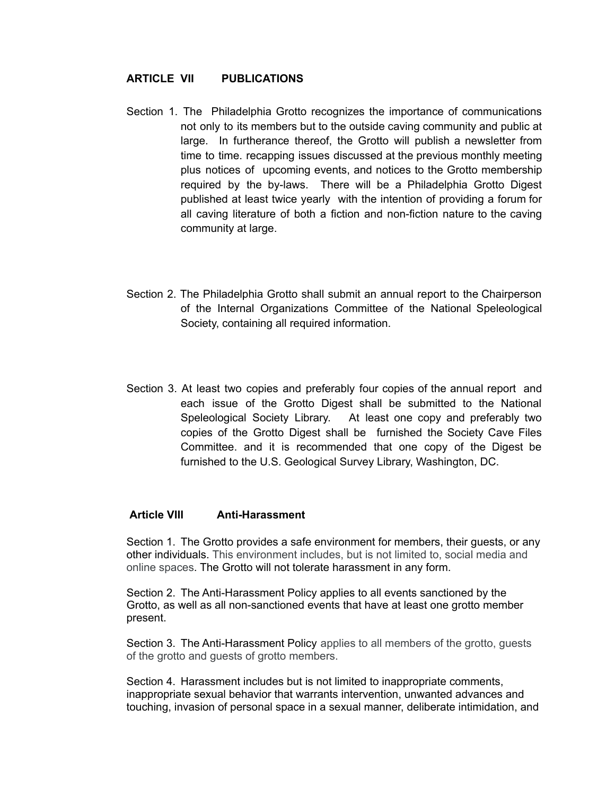#### **ARTICLE VII PUBLICATIONS**

- Section 1. The Philadelphia Grotto recognizes the importance of communications not only to its members but to the outside caving community and public at large. In furtherance thereof, the Grotto will publish a newsletter from time to time. recapping issues discussed at the previous monthly meeting plus notices of upcoming events, and notices to the Grotto membership required by the by-laws. There will be a Philadelphia Grotto Digest published at least twice yearly with the intention of providing a forum for all caving literature of both a fiction and non-fiction nature to the caving community at large.
- Section 2. The Philadelphia Grotto shall submit an annual report to the Chairperson of the Internal Organizations Committee of the National Speleological Society, containing all required information.
- Section 3. At least two copies and preferably four copies of the annual report and each issue of the Grotto Digest shall be submitted to the National Speleological Society Library. At least one copy and preferably two copies of the Grotto Digest shall be furnished the Society Cave Files Committee. and it is recommended that one copy of the Digest be furnished to the U.S. Geological Survey Library, Washington, DC.

#### **Article VIII Anti-Harassment**

Section 1. The Grotto provides a safe environment for members, their guests, or any other individuals. This environment includes, but is not limited to, social media and online spaces. The Grotto will not tolerate harassment in any form.

Section 2. The Anti-Harassment Policy applies to all events sanctioned by the Grotto, as well as all non-sanctioned events that have at least one grotto member present.

Section 3. The Anti-Harassment Policy applies to all members of the grotto, guests of the grotto and guests of grotto members.

Section 4. Harassment includes but is not limited to inappropriate comments, inappropriate sexual behavior that warrants intervention, unwanted advances and touching, invasion of personal space in a sexual manner, deliberate intimidation, and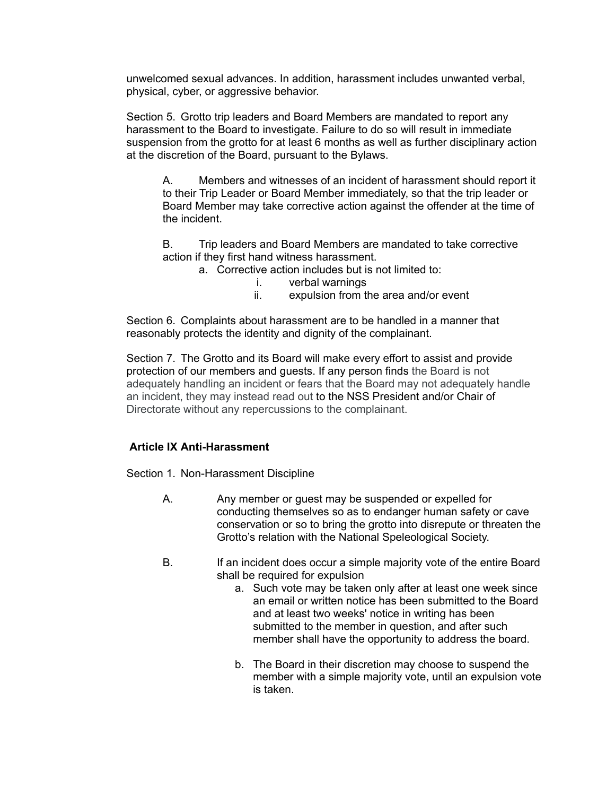unwelcomed sexual advances. In addition, harassment includes unwanted verbal, physical, cyber, or aggressive behavior.

Section 5. Grotto trip leaders and Board Members are mandated to report any harassment to the Board to investigate. Failure to do so will result in immediate suspension from the grotto for at least 6 months as well as further disciplinary action at the discretion of the Board, pursuant to the Bylaws.

A. Members and witnesses of an incident of harassment should report it to their Trip Leader or Board Member immediately, so that the trip leader or Board Member may take corrective action against the offender at the time of the incident.

B. Trip leaders and Board Members are mandated to take corrective action if they first hand witness harassment.

- a. Corrective action includes but is not limited to:
	- i. verbal warnings
	- ii. expulsion from the area and/or event

Section 6. Complaints about harassment are to be handled in a manner that reasonably protects the identity and dignity of the complainant.

Section 7. The Grotto and its Board will make every effort to assist and provide protection of our members and guests. If any person finds the Board is not adequately handling an incident or fears that the Board may not adequately handle an incident, they may instead read out to the NSS President and/or Chair of Directorate without any repercussions to the complainant.

## **Article IX Anti-Harassment**

Section 1. Non-Harassment Discipline

- A. Any member or guest may be suspended or expelled for conducting themselves so as to endanger human safety or cave conservation or so to bring the grotto into disrepute or threaten the Grotto's relation with the National Speleological Society.
- B. If an incident does occur a simple majority vote of the entire Board shall be required for expulsion
	- a. Such vote may be taken only after at least one week since an email or written notice has been submitted to the Board and at least two weeks' notice in writing has been submitted to the member in question, and after such member shall have the opportunity to address the board.
	- b. The Board in their discretion may choose to suspend the member with a simple majority vote, until an expulsion vote is taken.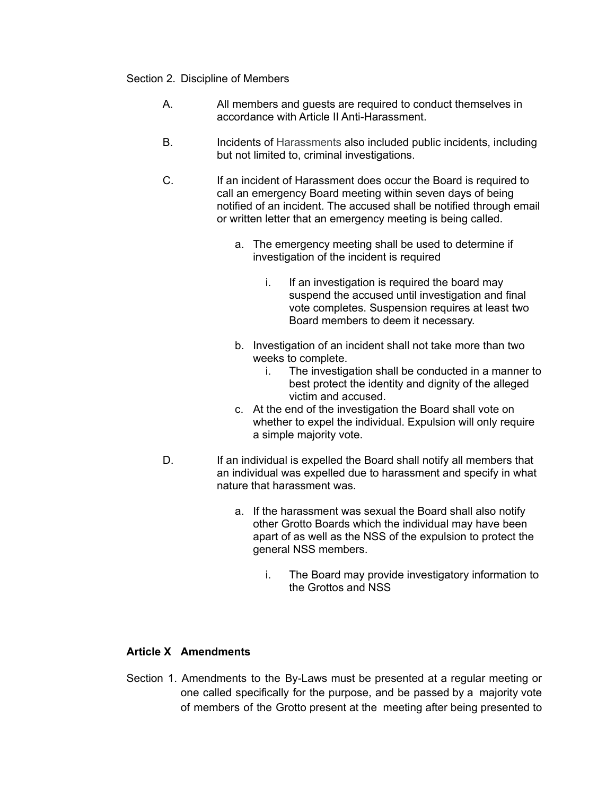#### Section 2. Discipline of Members

- A. All members and guests are required to conduct themselves in accordance with Article II Anti-Harassment.
- B. Incidents of Harassments also included public incidents, including but not limited to, criminal investigations.
- C. If an incident of Harassment does occur the Board is required to call an emergency Board meeting within seven days of being notified of an incident. The accused shall be notified through email or written letter that an emergency meeting is being called.
	- a. The emergency meeting shall be used to determine if investigation of the incident is required
		- i. If an investigation is required the board may suspend the accused until investigation and final vote completes. Suspension requires at least two Board members to deem it necessary.
	- b. Investigation of an incident shall not take more than two weeks to complete.
		- i. The investigation shall be conducted in a manner to best protect the identity and dignity of the alleged victim and accused.
	- c. At the end of the investigation the Board shall vote on whether to expel the individual. Expulsion will only require a simple majority vote.
- D. If an individual is expelled the Board shall notify all members that an individual was expelled due to harassment and specify in what nature that harassment was.
	- a. If the harassment was sexual the Board shall also notify other Grotto Boards which the individual may have been apart of as well as the NSS of the expulsion to protect the general NSS members.
		- i. The Board may provide investigatory information to the Grottos and NSS

# **Article X Amendments**

Section 1. Amendments to the By-Laws must be presented at a regular meeting or one called specifically for the purpose, and be passed by a majority vote of members of the Grotto present at the meeting after being presented to